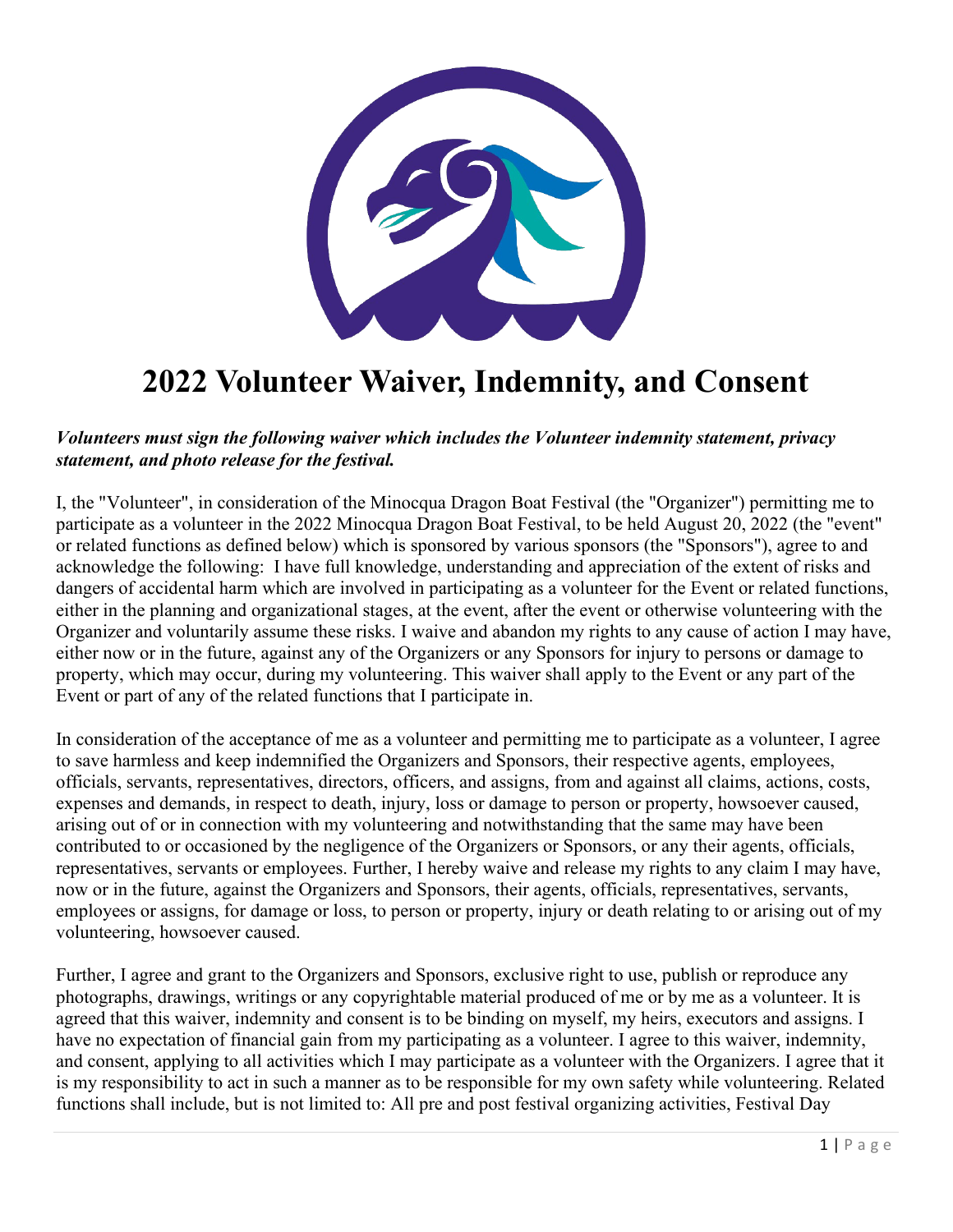

## **2022 Volunteer Waiver, Indemnity, and Consent**

## *Volunteers must sign the following waiver which includes the Volunteer indemnity statement, privacy statement, and photo release for the festival.*

I, the "Volunteer", in consideration of the Minocqua Dragon Boat Festival (the "Organizer") permitting me to participate as a volunteer in the 2022 Minocqua Dragon Boat Festival, to be held August 20, 2022 (the "event" or related functions as defined below) which is sponsored by various sponsors (the "Sponsors"), agree to and acknowledge the following: I have full knowledge, understanding and appreciation of the extent of risks and dangers of accidental harm which are involved in participating as a volunteer for the Event or related functions, either in the planning and organizational stages, at the event, after the event or otherwise volunteering with the Organizer and voluntarily assume these risks. I waive and abandon my rights to any cause of action I may have, either now or in the future, against any of the Organizers or any Sponsors for injury to persons or damage to property, which may occur, during my volunteering. This waiver shall apply to the Event or any part of the Event or part of any of the related functions that I participate in.

In consideration of the acceptance of me as a volunteer and permitting me to participate as a volunteer, I agree to save harmless and keep indemnified the Organizers and Sponsors, their respective agents, employees, officials, servants, representatives, directors, officers, and assigns, from and against all claims, actions, costs, expenses and demands, in respect to death, injury, loss or damage to person or property, howsoever caused, arising out of or in connection with my volunteering and notwithstanding that the same may have been contributed to or occasioned by the negligence of the Organizers or Sponsors, or any their agents, officials, representatives, servants or employees. Further, I hereby waive and release my rights to any claim I may have, now or in the future, against the Organizers and Sponsors, their agents, officials, representatives, servants, employees or assigns, for damage or loss, to person or property, injury or death relating to or arising out of my volunteering, howsoever caused.

Further, I agree and grant to the Organizers and Sponsors, exclusive right to use, publish or reproduce any photographs, drawings, writings or any copyrightable material produced of me or by me as a volunteer. It is agreed that this waiver, indemnity and consent is to be binding on myself, my heirs, executors and assigns. I have no expectation of financial gain from my participating as a volunteer. I agree to this waiver, indemnity, and consent, applying to all activities which I may participate as a volunteer with the Organizers. I agree that it is my responsibility to act in such a manner as to be responsible for my own safety while volunteering. Related functions shall include, but is not limited to: All pre and post festival organizing activities, Festival Day